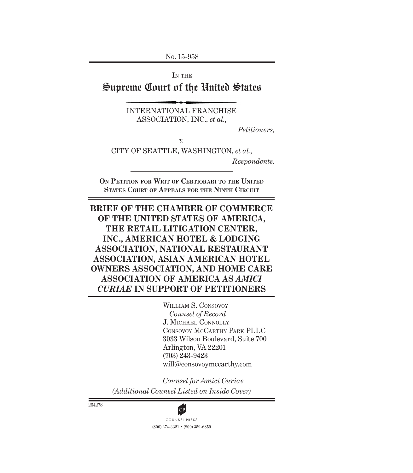No. 15-958

IN THE

Supreme Court of the United States

INTERNATIONAL FRANCHISE ASSOCIATION, INC., *et al.*,

*Petitioners,*

*v.*

CITY OF SEATTLE, WASHINGTON, *et al.*,

*Respondents.*

**On Petition for Writ of Certiorari to the United States Court of Appeals for the Ninth Circuit**

**BRIEF OF THE CHAMBER OF COMMERCE OF THE UNITED STATES OF AMERICA, THE RETAIL LITIGATION CENTER, INC., AMERICAN HOTEL & LODGING ASSOCIATION, NATIONAL RESTAURANT ASSOCIATION, ASIAN AMERICAN HOTEL OWNERS ASSOCIATION, AND HOME CARE ASSOCIATION OF AMERICA AS** *AMICI CURIAE* **IN SUPPORT OF PETITIONERS**

> WILLIAM S. CONSOVOY *Counsel of Record* J. Michael Connolly Consovoy McCarthy Park PLLC 3033 Wilson Boulevard, Suite 700 Arlington, VA 22201 (703) 243-9423 will@consovoymccarthy.com

*Counsel for Amici Curiae (Additional Counsel Listed on Inside Cover)*

264278

(800) 274-3321 • (800) 359-6859 **CP**<br>COUNSEL PRESS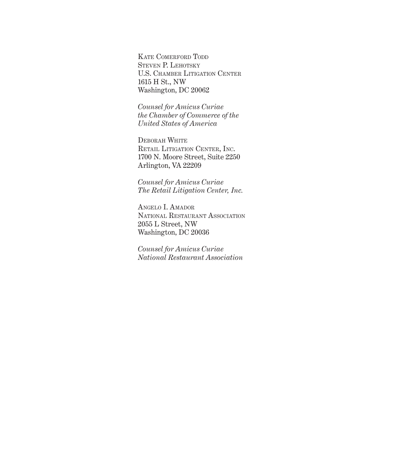KATE COMERFORD TODD STEVEN P. LEHOTSKY U.S. Chamber Litigation Center 1615 H St., NW Washington, DC 20062

*Counsel for Amicus Curiae the Chamber of Commerce of the United States of America*

Deborah White RETAIL LITIGATION CENTER, INC. 1700 N. Moore Street, Suite 2250 Arlington, VA 22209

*Counsel for Amicus Curiae The Retail Litigation Center, Inc.*

Angelo I. Amador National Restaurant Association 2055 L Street, NW Washington, DC 20036

*Counsel for Amicus Curiae National Restaurant Association*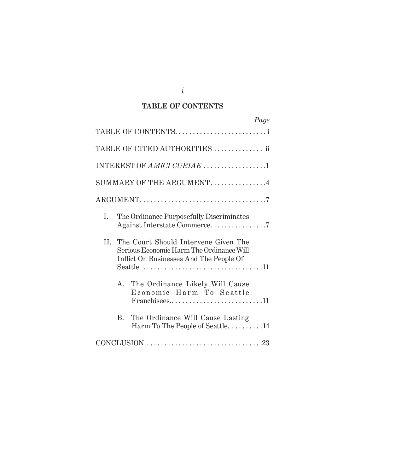## **TABLE OF CONTENTS**

| Page                                                                                                                                |
|-------------------------------------------------------------------------------------------------------------------------------------|
| TABLE OF CONTENTS                                                                                                                   |
| TABLE OF CITED AUTHORITIES  ii                                                                                                      |
|                                                                                                                                     |
| SUMMARY OF THE ARGUMENT4                                                                                                            |
|                                                                                                                                     |
| L.<br>The Ordinance Purposefully Discriminates                                                                                      |
| The Court Should Intervene Given The<br>II.<br>Serious Economic Harm The Ordinance Will<br>Inflict On Businesses And The People Of  |
| A. The Ordinance Likely Will Cause<br>Economic Harm To Seattle<br>$Franchisees \ldots \ldots \ldots \ldots \ldots \ldots \ldots 11$ |
| The Ordinance Will Cause Lasting<br>$\rm R_{\cdot}$<br>Harm To The People of Seattle. 14                                            |
|                                                                                                                                     |

*i*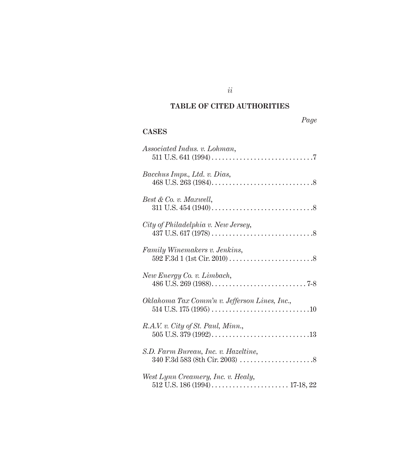# **TABLE OF CITED AUTHORITIES**

# *Page*

# **CASES**

| Associated Indus. v. Lohman,                  |
|-----------------------------------------------|
| Bacchus Imps., Ltd. v. Dias,                  |
| Best & Co. v. Maxwell,                        |
| City of Philadelphia v. New Jersey,           |
| Family Winemakers v. Jenkins,                 |
| New Energy Co. v. Limbach,                    |
| Oklahoma Tax Comm'n v. Jefferson Lines, Inc., |
| R.A.V. v. City of St. Paul, Minn.,            |
| S.D. Farm Bureau, Inc. v. Hazeltine,          |
| West Lynn Creamery, Inc. v. Healy,            |

*ii*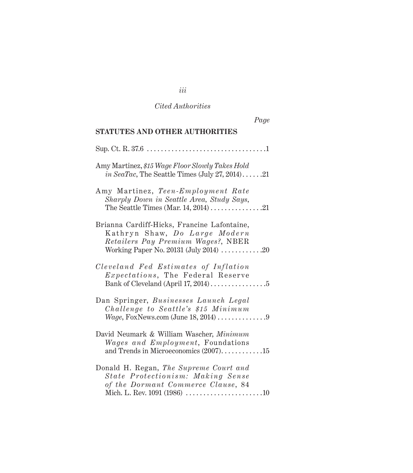## *Cited Authorities*

| Page                                                                                                                                                                                        |
|---------------------------------------------------------------------------------------------------------------------------------------------------------------------------------------------|
| STATUTES AND OTHER AUTHORITIES                                                                                                                                                              |
|                                                                                                                                                                                             |
| Amy Martinez, \$15 Wage Floor Slowly Takes Hold<br><i>in SeaTac</i> , The Seattle Times (July 27, 2014)21                                                                                   |
| Amy Martinez, Teen-Employment Rate<br>Sharply Down in Seattle Area, Study Says,                                                                                                             |
| Brianna Cardiff-Hicks, Francine Lafontaine,<br>Kathryn Shaw, Do Large Modern<br>Retailers Pay Premium Wages?, NBER<br>Working Paper No. 20131 (July 2014) $\ldots \ldots \ldots \ldots$ .20 |
| Cleveland Fed Estimates of Inflation<br><i>Expectations</i> , The Federal Reserve<br>Bank of Cleveland (April 17, 2014) $\dots \dots \dots \dots \dots$                                     |
| Dan Springer, Businesses Launch Legal<br>Challenge to Seattle's \$15 Minimum<br><i>Wage</i> , FoxNews.com (June 18, 2014) $\ldots \ldots \ldots \ldots$                                     |
| David Neumark & William Wascher, Minimum<br><i>Wages and Employment</i> , Foundations<br>and Trends in Microeconomics $(2007)$ 15                                                           |
| Donald H. Regan, The Supreme Court and<br>State Protectionism: Making Sense<br>of the Dormant Commerce Clause, 84                                                                           |

*iii*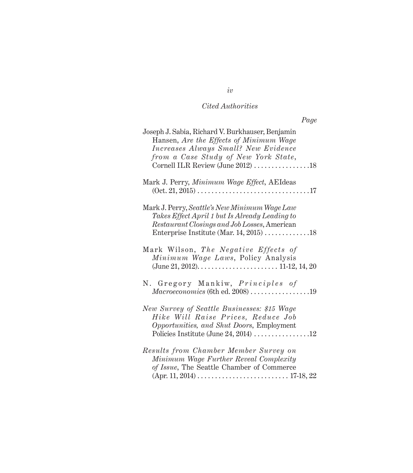# *Cited Authorities*

| Page                                                                                                                                                                                                                       |
|----------------------------------------------------------------------------------------------------------------------------------------------------------------------------------------------------------------------------|
| Joseph J. Sabia, Richard V. Burkhauser, Benjamin<br>Hansen, Are the Effects of Minimum Wage<br>Increases Always Small? New Evidence<br>from a Case Study of New York State,<br>Cornell ILR Review (June 2012) 18           |
|                                                                                                                                                                                                                            |
| Mark J. Perry, Minimum Wage Effect, AEIdeas                                                                                                                                                                                |
| Mark J. Perry, Seattle's New Minimum Wage Law<br>Takes Effect April 1 but Is Already Leading to<br>Restaurant Closings and Job Losses, American                                                                            |
| Mark Wilson, The Negative Effects of<br>Minimum Wage Laws, Policy Analysis<br>(June 21, 2012). $\dots$ . $\dots$ . $\dots$ . $\dots$ . $11-12$ , 14, 20                                                                    |
| N. Gregory Mankiw, Principles of<br>Macroeconomics (6th ed. 2008) 19                                                                                                                                                       |
| New Survey of Seattle Businesses: \$15 Wage<br>Hike Will Raise Prices, Reduce Job<br>Opportunities, and Shut Doors, Employment                                                                                             |
| Results from Chamber Member Survey on<br>Minimum Wage Further Reveal Complexity<br>of Issue, The Seattle Chamber of Commerce<br>$(Apr. 11, 2014) \ldots \ldots \ldots \ldots \ldots \ldots \ldots \ldots \ldots 17-18, 22$ |

# *iv*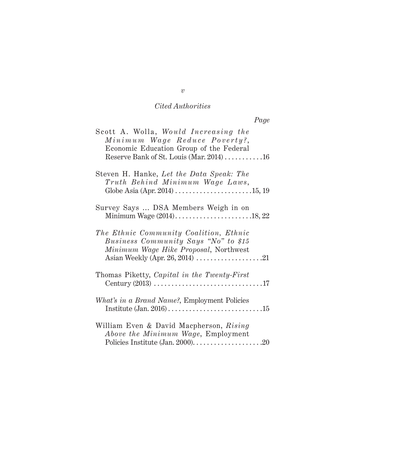## *Cited Authorities*

| Scott A. Wolla, Would Increasing the<br>Minimum Wage Reduce Poverty?,<br>Economic Education Group of the Federal<br>Reserve Bank of St. Louis (Mar. 2014) 16 |
|--------------------------------------------------------------------------------------------------------------------------------------------------------------|
| Steven H. Hanke, Let the Data Speak: The<br>Truth Behind Minimum Wage Laws,                                                                                  |
| Survey Says  DSA Members Weigh in on                                                                                                                         |
| The Ethnic Community Coalition, Ethnic<br>Business Community Says "No" to \$15<br>Minimum Wage Hike Proposal, Northwest                                      |
| Thomas Piketty, Capital in the Twenty-First                                                                                                                  |
| What's in a Brand Name?, Employment Policies                                                                                                                 |
| William Even & David Macpherson, Rising<br>Above the Minimum Wage, Employment                                                                                |

*v*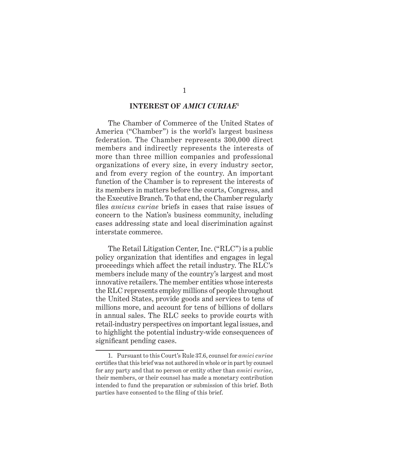#### **INTEREST OF** *AMICI CURIAE***<sup>1</sup>**

The Chamber of Commerce of the United States of America ("Chamber") is the world's largest business federation. The Chamber represents 300,000 direct members and indirectly represents the interests of more than three million companies and professional organizations of every size, in every industry sector, and from every region of the country. An important function of the Chamber is to represent the interests of its members in matters before the courts, Congress, and the Executive Branch. To that end, the Chamber regularly files *amicus curiae* briefs in cases that raise issues of concern to the Nation's business community, including cases addressing state and local discrimination against interstate commerce.

The Retail Litigation Center, Inc. ("RLC") is a public policy organization that identifies and engages in legal proceedings which affect the retail industry. The RLC's members include many of the country's largest and most innovative retailers. The member entities whose interests the RLC represents employ millions of people throughout the United States, provide goods and services to tens of millions more, and account for tens of billions of dollars in annual sales. The RLC seeks to provide courts with retail-industry perspectives on important legal issues, and to highlight the potential industry-wide consequences of significant pending cases.

<sup>1.</sup> Pursuant to this Court's Rule 37.6, counsel for *amici curiae* certifies that this brief was not authored in whole or in part by counsel for any party and that no person or entity other than *amici curiae*, their members, or their counsel has made a monetary contribution intended to fund the preparation or submission of this brief. Both parties have consented to the filing of this brief.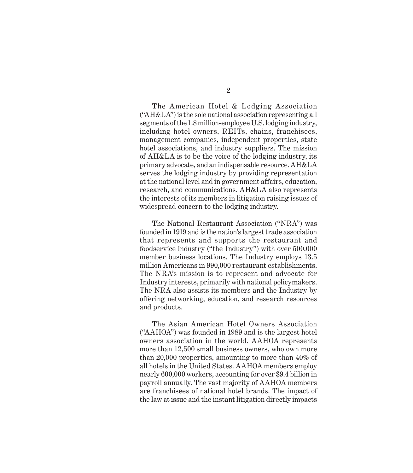The American Hotel & Lodging Association ("AH&LA") is the sole national association representing all segments of the 1.8 million-employee U.S. lodging industry, including hotel owners, REITs, chains, franchisees, management companies, independent properties, state hotel associations, and industry suppliers. The mission of AH&LA is to be the voice of the lodging industry, its primary advocate, and an indispensable resource. AH&LA serves the lodging industry by providing representation at the national level and in government affairs, education, research, and communications. AH&LA also represents the interests of its members in litigation raising issues of widespread concern to the lodging industry.

The National Restaurant Association ("NRA") was founded in 1919 and is the nation's largest trade association that represents and supports the restaurant and foodservice industry ("the Industry") with over 500,000 member business locations. The Industry employs 13.5 million Americans in 990,000 restaurant establishments. The NRA's mission is to represent and advocate for Industry interests, primarily with national policymakers. The NRA also assists its members and the Industry by offering networking, education, and research resources and products.

The Asian American Hotel Owners Association ("AAHOA") was founded in 1989 and is the largest hotel owners association in the world. AAHOA represents more than 12,500 small business owners, who own more than 20,000 properties, amounting to more than 40% of all hotels in the United States. AAHOA members employ nearly 600,000 workers, accounting for over \$9.4 billion in payroll annually. The vast majority of AAHOA members are franchisees of national hotel brands. The impact of the law at issue and the instant litigation directly impacts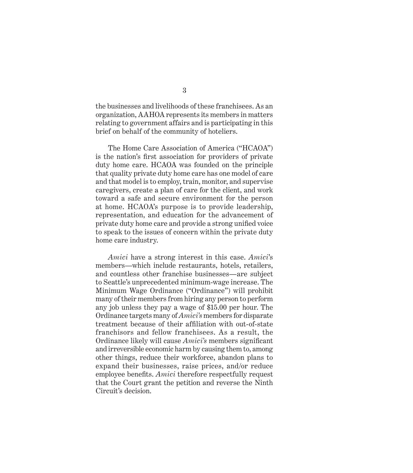the businesses and livelihoods of these franchisees. As an organization, AAHOA represents its members in matters relating to government affairs and is participating in this brief on behalf of the community of hoteliers.

The Home Care Association of America ("HCAOA") is the nation's first association for providers of private duty home care. HCAOA was founded on the principle that quality private duty home care has one model of care and that model is to employ, train, monitor, and supervise caregivers, create a plan of care for the client, and work toward a safe and secure environment for the person at home. HCAOA's purpose is to provide leadership, representation, and education for the advancement of private duty home care and provide a strong unified voice to speak to the issues of concern within the private duty home care industry.

*Amici* have a strong interest in this case. *Amici*'s members—which include restaurants, hotels, retailers, and countless other franchise businesses—are subject to Seattle's unprecedented minimum-wage increase. The Minimum Wage Ordinance ("Ordinance") will prohibit many of their members from hiring any person to perform any job unless they pay a wage of \$15.00 per hour. The Ordinance targets many of *Amici's* members for disparate treatment because of their affiliation with out-of-state franchisors and fellow franchisees. As a result, the Ordinance likely will cause *Amici's* members significant and irreversible economic harm by causing them to, among other things, reduce their workforce, abandon plans to expand their businesses, raise prices, and/or reduce employee benefits. *Amici* therefore respectfully request that the Court grant the petition and reverse the Ninth Circuit's decision.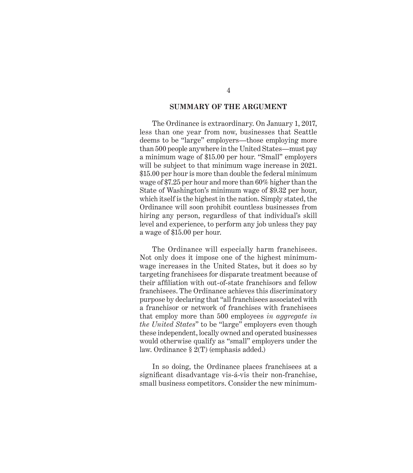#### **SUMMARY OF THE ARGUMENT**

The Ordinance is extraordinary. On January 1, 2017, less than one year from now, businesses that Seattle deems to be "large" employers—those employing more than 500 people anywhere in the United States—must pay a minimum wage of \$15.00 per hour. "Small" employers will be subject to that minimum wage increase in 2021. \$15.00 per hour is more than double the federal minimum wage of \$7.25 per hour and more than 60% higher than the State of Washington's minimum wage of \$9.32 per hour, which itself is the highest in the nation. Simply stated, the Ordinance will soon prohibit countless businesses from hiring any person, regardless of that individual's skill level and experience, to perform any job unless they pay a wage of \$15.00 per hour.

The Ordinance will especially harm franchisees. Not only does it impose one of the highest minimumwage increases in the United States, but it does so by targeting franchisees for disparate treatment because of their affiliation with out-of-state franchisors and fellow franchisees. The Ordinance achieves this discriminatory purpose by declaring that "all franchisees associated with a franchisor or network of franchises with franchisees that employ more than 500 employees *in aggregate in the United States*" to be "large" employers even though these independent, locally owned and operated businesses would otherwise qualify as "small" employers under the law. Ordinance § 2(T) (emphasis added.)

In so doing, the Ordinance places franchisees at a significant disadvantage vis-á-vis their non-franchise, small business competitors. Consider the new minimum-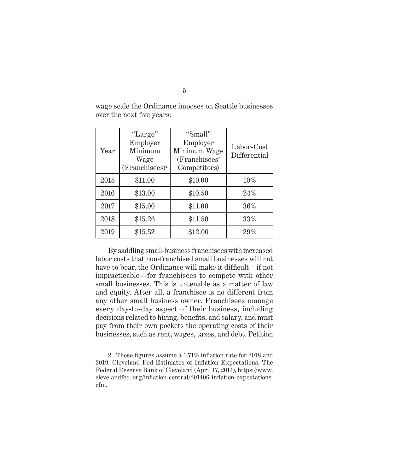| Year | "Large"<br>Employer<br>Minimum<br>Wage<br>$(Franchisees)^2$ | "Small"<br>Employer<br>Minimum Wage<br>(Franchisees'<br>Competitors) | Labor-Cost<br>Differential |
|------|-------------------------------------------------------------|----------------------------------------------------------------------|----------------------------|
| 2015 | \$11.00                                                     | \$10.00                                                              | 10%                        |
| 2016 | \$13.00                                                     | \$10.50                                                              | 24%                        |
| 2017 | \$15.00                                                     | \$11.00                                                              | $36\%$                     |
| 2018 | \$15.26                                                     | \$11.50                                                              | 33%                        |
| 2019 | \$15.52                                                     | \$12.00                                                              | 29%                        |

wage scale the Ordinance imposes on Seattle businesses over the next five years:

By saddling small-business franchisees with increased labor costs that non-franchised small businesses will not have to bear, the Ordinance will make it difficult—if not impracticable—for franchisees to compete with other small businesses. This is untenable as a matter of law and equity. After all, a franchisee is no different from any other small business owner. Franchisees manage every day-to-day aspect of their business, including decisions related to hiring, benefits, and salary, and must pay from their own pockets the operating costs of their businesses, such as rent, wages, taxes, and debt. Petition

<sup>2.</sup> These figures assume a 1.71% inflation rate for 2018 and 2019. Cleveland Fed Estimates of Inflation Expectations, The Federal Reserve Bank of Cleveland (April 17, 2014), https://www. clevelandfed. org/inflation-central/201406-inflation-expectations. cfm.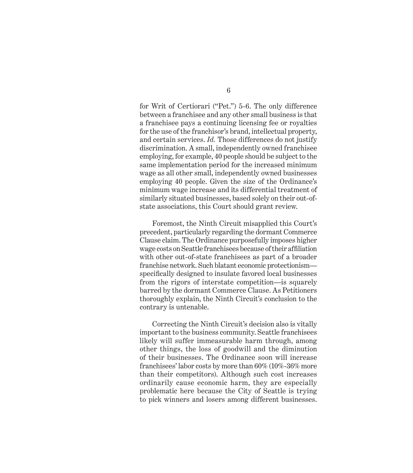for Writ of Certiorari ("Pet.") 5-6. The only difference between a franchisee and any other small business is that a franchisee pays a continuing licensing fee or royalties for the use of the franchisor's brand, intellectual property, and certain services. *Id.* Those differences do not justify discrimination. A small, independently owned franchisee employing, for example, 40 people should be subject to the same implementation period for the increased minimum wage as all other small, independently owned businesses employing 40 people. Given the size of the Ordinance's minimum wage increase and its differential treatment of similarly situated businesses, based solely on their out-ofstate associations, this Court should grant review.

Foremost, the Ninth Circuit misapplied this Court's precedent, particularly regarding the dormant Commerce Clause claim. The Ordinance purposefully imposes higher wage costs on Seattle franchisees because of their affiliation with other out-of-state franchisees as part of a broader franchise network. Such blatant economic protectionism specifically designed to insulate favored local businesses from the rigors of interstate competition—is squarely barred by the dormant Commerce Clause. As Petitioners thoroughly explain, the Ninth Circuit's conclusion to the contrary is untenable.

Correcting the Ninth Circuit's decision also is vitally important to the business community. Seattle franchisees likely will suffer immeasurable harm through, among other things, the loss of goodwill and the diminution of their businesses. The Ordinance soon will increase franchisees' labor costs by more than 60% (10%-36% more than their competitors). Although such cost increases ordinarily cause economic harm, they are especially problematic here because the City of Seattle is trying to pick winners and losers among different businesses.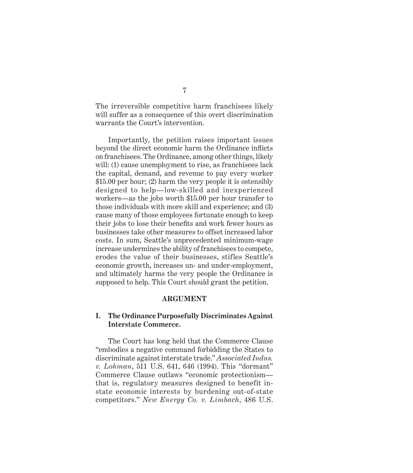The irreversible competitive harm franchisees likely will suffer as a consequence of this overt discrimination warrants the Court's intervention.

Importantly, the petition raises important issues beyond the direct economic harm the Ordinance inflicts on franchisees. The Ordinance, among other things, likely will: (1) cause unemployment to rise, as franchisees lack the capital, demand, and revenue to pay every worker \$15.00 per hour; (2) harm the very people it is ostensibly designed to help—low-skilled and inexperienced workers—as the jobs worth \$15.00 per hour transfer to those individuals with more skill and experience; and (3) cause many of those employees fortunate enough to keep their jobs to lose their benefits and work fewer hours as businesses take other measures to offset increased labor costs. In sum, Seattle's unprecedented minimum-wage increase undermines the ability of franchisees to compete, erodes the value of their businesses, stifles Seattle's economic growth, increases un- and under-employment, and ultimately harms the very people the Ordinance is supposed to help. This Court should grant the petition.

#### **ARGUMENT**

### **I. The Ordinance Purposefully Discriminates Against Interstate Commerce.**

The Court has long held that the Commerce Clause "embodies a negative command forbidding the States to discriminate against interstate trade." *Associated Indus. v. Lohman*, 511 U.S. 641, 646 (1994). This "dormant" Commerce Clause outlaws "economic protectionism that is, regulatory measures designed to benefit instate economic interests by burdening out-of-state competitors." *New Energy Co. v. Limbach*, 486 U.S.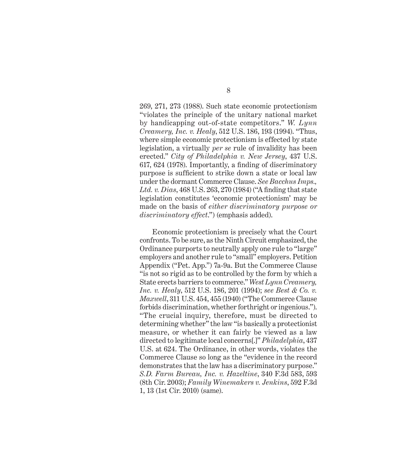269, 271, 273 (1988). Such state economic protectionism "violates the principle of the unitary national market by handicapping out-of-state competitors." *W. Lynn Creamery, Inc. v. Healy*, 512 U.S. 186, 193 (1994). "Thus, where simple economic protectionism is effected by state legislation, a virtually *per se* rule of invalidity has been erected." *City of Philadelphia v. New Jersey*, 437 U.S. 617, 624 (1978). Importantly, a finding of discriminatory purpose is sufficient to strike down a state or local law under the dormant Commerce Clause. *See Bacchus Imps., Ltd. v. Dias*, 468 U.S. 263, 270 (1984) ("A finding that state legislation constitutes 'economic protectionism' may be made on the basis of *either discriminatory purpose or discriminatory effect*.") (emphasis added).

Economic protectionism is precisely what the Court confronts. To be sure, as the Ninth Circuit emphasized, the Ordinance purports to neutrally apply one rule to "large" employers and another rule to "small" employers. Petition Appendix ("Pet. App.") 7a-9a. But the Commerce Clause "is not so rigid as to be controlled by the form by which a State erects barriers to commerce." *West Lynn Creamery, Inc. v. Healy*, 512 U.S. 186, 201 (1994); *see Best & Co. v. Maxwell*, 311 U.S. 454, 455 (1940) ("The Commerce Clause forbids discrimination, whether forthright or ingenious."). "The crucial inquiry, therefore, must be directed to determining whether" the law "is basically a protectionist measure, or whether it can fairly be viewed as a law directed to legitimate local concerns[.]" *Philadelphia*, 437 U.S. at 624. The Ordinance, in other words, violates the Commerce Clause so long as the "evidence in the record demonstrates that the law has a discriminatory purpose." *S.D. Farm Bureau, Inc. v. Hazeltine*, 340 F.3d 583, 593 (8th Cir. 2003); *Family Winemakers v. Jenkins*, 592 F.3d 1, 13 (1st Cir. 2010) (same).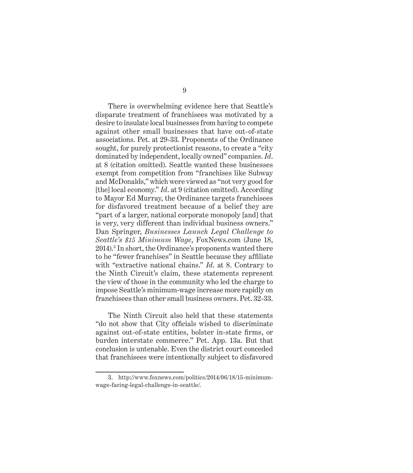There is overwhelming evidence here that Seattle's disparate treatment of franchisees was motivated by a desire to insulate local businesses from having to compete against other small businesses that have out-of-state associations. Pet. at 29-33. Proponents of the Ordinance sought, for purely protectionist reasons, to create a "city dominated by independent, locally owned" companies. *Id*. at 8 (citation omitted). Seattle wanted these businesses exempt from competition from "franchises like Subway and McDonalds," which were viewed as "not very good for [the] local economy." *Id*. at 9 (citation omitted). According to Mayor Ed Murray, the Ordinance targets franchisees for disfavored treatment because of a belief they are "part of a larger, national corporate monopoly [and] that is very, very different than individual business owners." Dan Springer, *Businesses Launch Legal Challenge to Seattle's \$15 Minimum Wage*, FoxNews.com (June 18, 2014).3 In short, the Ordinance's proponents wanted there to be "fewer franchises" in Seattle because they affiliate with "extractive national chains." *Id*. at 8. Contrary to the Ninth Circuit's claim, these statements represent the view of those in the community who led the charge to impose Seattle's minimum-wage increase more rapidly on franchisees than other small business owners. Pet. 32-33.

The Ninth Circuit also held that these statements "do not show that City officials wished to discriminate against out-of-state entities, bolster in-state firms, or burden interstate commerce." Pet. App. 13a. But that conclusion is untenable. Even the district court conceded that franchisees were intentionally subject to disfavored

<sup>3.</sup> http://www.foxnews.com/politics/2014/06/18/15-minimumwage-facing-legal-challenge-in-seattle/.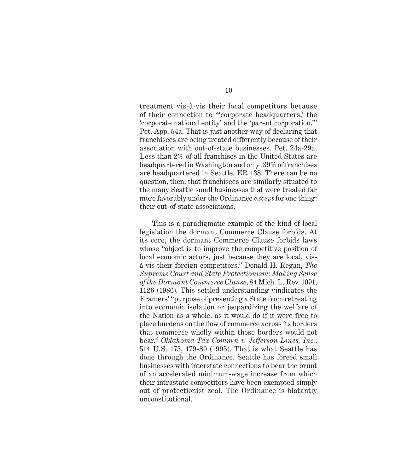treatment vis-à-vis their local competitors because of their connection to "'corporate headquarters,' the 'corporate national entity' and the 'parent corporation.'" Pet. App. 54a. That is just another way of declaring that franchisees are being treated differently because of their association with out-of-state businesses. Pet. 24a-29a. Less than 2% of all franchises in the United States are headquartered in Washington and only .39% of franchises are headquartered in Seattle. ER 138. There can be no question, then, that franchisees are similarly situated to the many Seattle small businesses that were treated far more favorably under the Ordinance *except* for one thing: their out-of-state associations.

This is a paradigmatic example of the kind of local legislation the dormant Commerce Clause forbids. At its core, the dormant Commerce Clause forbids laws whose "object is to improve the competitive position of local economic actors, just because they are local, visà-vis their foreign competitors." Donald H. Regan, *The Supreme Court and State Protectionism: Making Sense of the Dormant Commerce Clause*, 84 Mich. L. Rev. 1091, 1126 (1986). This settled understanding vindicates the Framers' "purpose of preventing a State from retreating into economic isolation or jeopardizing the welfare of the Nation as a whole, as it would do if it were free to place burdens on the flow of commerce across its borders that commerce wholly within those borders would not bear." *Oklahoma Tax Comm'n v. Jefferson Lines, Inc.*, 514 U.S. 175, 179-80 (1995). That is what Seattle has done through the Ordinance. Seattle has forced small businesses with interstate connections to bear the brunt of an accelerated minimum-wage increase from which their intrastate competitors have been exempted simply out of protectionist zeal. The Ordinance is blatantly unconstitutional.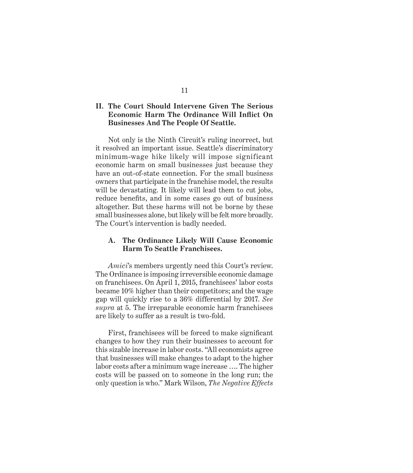### **II. The Court Should Intervene Given The Serious Economic Harm The Ordinance Will Inflict On Businesses And The People Of Seattle.**

Not only is the Ninth Circuit's ruling incorrect, but it resolved an important issue. Seattle's discriminatory minimum-wage hike likely will impose significant economic harm on small businesses just because they have an out-of-state connection. For the small business owners that participate in the franchise model, the results will be devastating. It likely will lead them to cut jobs, reduce benefits, and in some cases go out of business altogether. But these harms will not be borne by these small businesses alone, but likely will be felt more broadly. The Court's intervention is badly needed.

### **A. The Ordinance Likely Will Cause Economic Harm To Seattle Franchisees.**

*Amici*'s members urgently need this Court's review. The Ordinance is imposing irreversible economic damage on franchisees. On April 1, 2015, franchisees' labor costs became 10% higher than their competitors; and the wage gap will quickly rise to a 36% differential by 2017. *See supra* at 5. The irreparable economic harm franchisees are likely to suffer as a result is two-fold.

First, franchisees will be forced to make significant changes to how they run their businesses to account for this sizable increase in labor costs. "All economists agree that businesses will make changes to adapt to the higher labor costs after a minimum wage increase …. The higher costs will be passed on to someone in the long run; the only question is who." Mark Wilson, *The Negative Effects*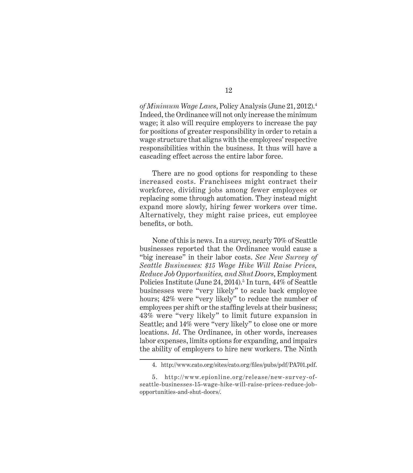*of Minimum Wage Laws*, Policy Analysis (June 21, 2012).4 Indeed, the Ordinance will not only increase the minimum wage; it also will require employers to increase the pay for positions of greater responsibility in order to retain a wage structure that aligns with the employees' respective responsibilities within the business. It thus will have a cascading effect across the entire labor force.

There are no good options for responding to these increased costs. Franchisees might contract their workforce, dividing jobs among fewer employees or replacing some through automation. They instead might expand more slowly, hiring fewer workers over time. Alternatively, they might raise prices, cut employee benefits, or both.

None of this is news. In a survey, nearly 70% of Seattle businesses reported that the Ordinance would cause a "big increase" in their labor costs. *See New Survey of Seattle Businesses: \$15 Wage Hike Will Raise Prices, Reduce Job Opportunities, and Shut Doors*, Employment Policies Institute (June 24, 2014).<sup>5</sup> In turn, 44% of Seattle businesses were "very likely" to scale back employee hours; 42% were "very likely" to reduce the number of employees per shift or the staffing levels at their business; 43% were "very likely" to limit future expansion in Seattle; and 14% were "very likely" to close one or more locations. *Id*. The Ordinance, in other words, increases labor expenses, limits options for expanding, and impairs the ability of employers to hire new workers. The Ninth

<sup>4.</sup> http://www.cato.org/sites/cato.org/files/pubs/pdf/PA701.pdf.

<sup>5.</sup> http://www.epionline.org/release/new-survey-ofseattle-businesses-15-wage-hike-will-raise-prices-reduce-jobopportunities-and-shut-doors/.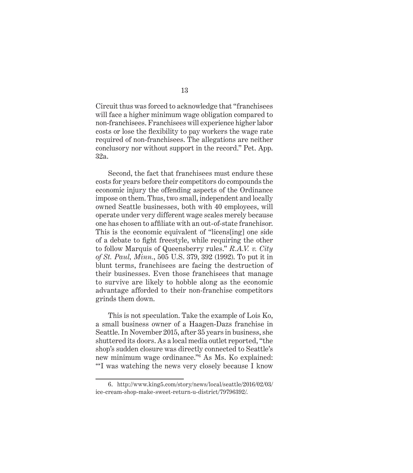Circuit thus was forced to acknowledge that "franchisees will face a higher minimum wage obligation compared to non-franchisees. Franchisees will experience higher labor costs or lose the flexibility to pay workers the wage rate required of non-franchisees. The allegations are neither conclusory nor without support in the record." Pet. App. 32a.

Second, the fact that franchisees must endure these costs for years before their competitors do compounds the economic injury the offending aspects of the Ordinance impose on them. Thus, two small, independent and locally owned Seattle businesses, both with 40 employees, will operate under very different wage scales merely because one has chosen to affiliate with an out-of-state franchisor. This is the economic equivalent of "licens[ing] one side of a debate to fight freestyle, while requiring the other to follow Marquis of Queensberry rules." *R.A.V. v. City of St. Paul, Minn.*, 505 U.S. 379, 392 (1992). To put it in blunt terms, franchisees are facing the destruction of their businesses. Even those franchisees that manage to survive are likely to hobble along as the economic advantage afforded to their non-franchise competitors grinds them down.

This is not speculation. Take the example of Lois Ko, a small business owner of a Haagen-Dazs franchise in Seattle. In November 2015, after 35 years in business, she shuttered its doors. As a local media outlet reported, "the shop's sudden closure was directly connected to Seattle's new minimum wage ordinance."<sup>6</sup> As Ms. Ko explained: "'I was watching the news very closely because I know

<sup>6.</sup> http://www.king5.com/story/news/local/seattle/2016/02/03/ ice-cream-shop-make-sweet-return-u-district/79796392/.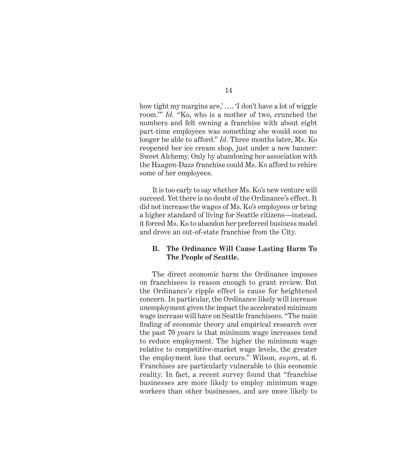how tight my margins are,' …. 'I don't have a lot of wiggle room.'" *Id.* "Ko, who is a mother of two, crunched the numbers and felt owning a franchise with about eight part-time employees was something she would soon no longer be able to afford." *Id*. Three months later, Ms. Ko reopened her ice cream shop, just under a new banner: Sweet Alchemy. Only by abandoning her association with the Haagen-Dazs franchise could Ms. Ko afford to rehire some of her employees.

It is too early to say whether Ms. Ko's new venture will succeed. Yet there is no doubt of the Ordinance's effect. It did not increase the wages of Ms. Ko's employees or bring a higher standard of living for Seattle citizens—instead, it forced Ms. Ko to abandon her preferred business model and drove an out-of-state franchise from the City.

#### **B. The Ordinance Will Cause Lasting Harm To The People of Seattle.**

The direct economic harm the Ordinance imposes on franchisees is reason enough to grant review. But the Ordinance's ripple effect is cause for heightened concern. In particular, the Ordinance likely will increase unemployment given the impact the accelerated minimum wage increase will have on Seattle franchisees. "The main finding of economic theory and empirical research over the past 70 years is that minimum wage increases tend to reduce employment. The higher the minimum wage relative to competitive-market wage levels, the greater the employment loss that occurs." Wilson, *supra*, at 6. Franchises are particularly vulnerable to this economic reality. In fact, a recent survey found that "franchise businesses are more likely to employ minimum wage workers than other businesses, and are more likely to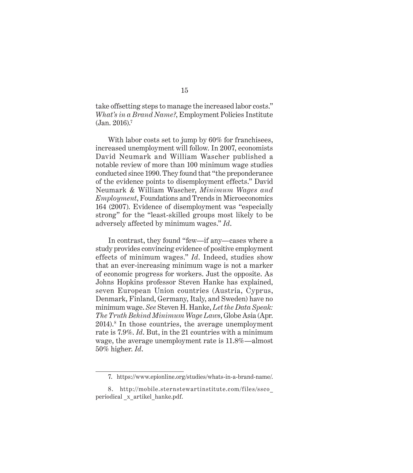take offsetting steps to manage the increased labor costs." *What's in a Brand Name?*, Employment Policies Institute (Jan. 2016).<sup>7</sup>

With labor costs set to jump by 60% for franchisees, increased unemployment will follow. In 2007, economists David Neumark and William Wascher published a notable review of more than 100 minimum wage studies conducted since 1990. They found that "the preponderance of the evidence points to disemployment effects." David Neumark & William Wascher, *Minimum Wages and Employment*, Foundations and Trends in Microeconomics 164 (2007). Evidence of disemployment was "especially strong" for the "least-skilled groups most likely to be adversely affected by minimum wages." *Id*.

In contrast, they found "few—if any—cases where a study provides convincing evidence of positive employment effects of minimum wages." *Id*. Indeed, studies show that an ever-increasing minimum wage is not a marker of economic progress for workers. Just the opposite. As Johns Hopkins professor Steven Hanke has explained, seven European Union countries (Austria, Cyprus, Denmark, Finland, Germany, Italy, and Sweden) have no minimum wage. *See* Steven H. Hanke, *Let the Data Speak: The Truth Behind Minimum Wage Laws*, Globe Asia (Apr. 2014).<sup>8</sup> In those countries, the average unemployment rate is 7.9%. *Id*. But, in the 21 countries with a minimum wage, the average unemployment rate is 11.8%—almost 50% higher. *Id*.

<sup>7.</sup> https://www.epionline.org/studies/whats-in-a-brand-name/.

<sup>8.</sup> http://mobile.sternstewartinstitute.com/files/ssco\_ periodical \_x\_artikel\_hanke.pdf.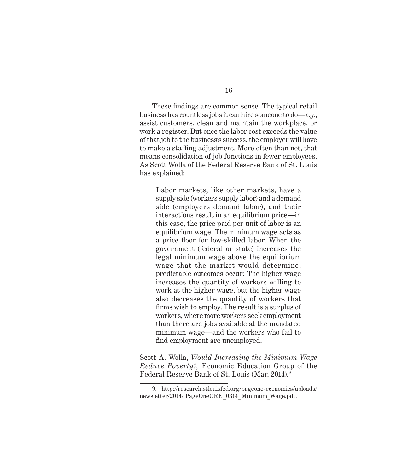These findings are common sense. The typical retail business has countless jobs it can hire someone to do—*e.g.*, assist customers, clean and maintain the workplace, or work a register. But once the labor cost exceeds the value of that job to the business's success, the employer will have to make a staffing adjustment. More often than not, that means consolidation of job functions in fewer employees. As Scott Wolla of the Federal Reserve Bank of St. Louis has explained:

Labor markets, like other markets, have a supply side (workers supply labor) and a demand side (employers demand labor), and their interactions result in an equilibrium price—in this case, the price paid per unit of labor is an equilibrium wage. The minimum wage acts as a price floor for low-skilled labor. When the government (federal or state) increases the legal minimum wage above the equilibrium wage that the market would determine, predictable outcomes occur: The higher wage increases the quantity of workers willing to work at the higher wage, but the higher wage also decreases the quantity of workers that firms wish to employ. The result is a surplus of workers, where more workers seek employment than there are jobs available at the mandated minimum wage—and the workers who fail to find employment are unemployed.

Scott A. Wolla, *Would Increasing the Minimum Wage Reduce Poverty?,* Economic Education Group of the Federal Reserve Bank of St. Louis (Mar. 2014).9

<sup>9.</sup> http://research.stlouisfed.org/pageone-economics/uploads/ newsletter/2014/ PageOneCRE\_0314\_Minimum\_Wage.pdf.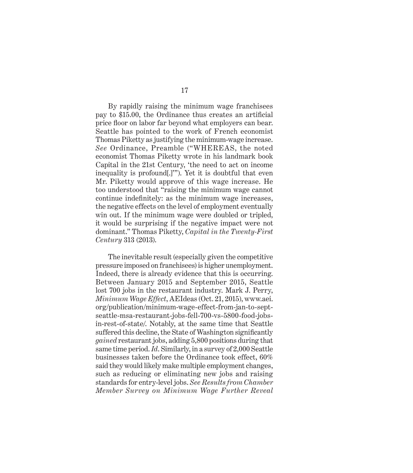By rapidly raising the minimum wage franchisees pay to \$15.00, the Ordinance thus creates an artificial price floor on labor far beyond what employers can bear. Seattle has pointed to the work of French economist Thomas Piketty as justifying the minimum-wage increase. *See* Ordinance, Preamble ("WHEREAS, the noted economist Thomas Piketty wrote in his landmark book Capital in the 21st Century, 'the need to act on income inequality is profound[.]'"). Yet it is doubtful that even Mr. Piketty would approve of this wage increase. He too understood that "raising the minimum wage cannot continue indefinitely: as the minimum wage increases, the negative effects on the level of employment eventually win out. If the minimum wage were doubled or tripled, it would be surprising if the negative impact were not dominant." Thomas Piketty, *Capital in the Twenty-First Century* 313 (2013).

The inevitable result (especially given the competitive pressure imposed on franchisees) is higher unemployment. Indeed, there is already evidence that this is occurring. Between January 2015 and September 2015, Seattle lost 700 jobs in the restaurant industry. Mark J. Perry, *Minimum Wage Effect*, AEIdeas (Oct. 21, 2015), www.aei. org/publication/minimum-wage-effect-from-jan-to-septseattle-msa-restaurant-jobs-fell-700-vs-5800-food-jobsin-rest-of-state/. Notably, at the same time that Seattle suffered this decline, the State of Washington significantly *gained* restaurant jobs, adding 5,800 positions during that same time period. *Id*. Similarly, in a survey of 2,000 Seattle businesses taken before the Ordinance took effect, 60% said they would likely make multiple employment changes, such as reducing or eliminating new jobs and raising standards for entry-level jobs. *See Results from Chamber Member Survey on Minimum Wage Further Reveal*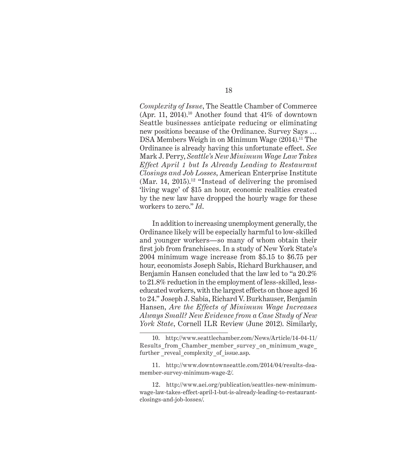*Complexity of Issue*, The Seattle Chamber of Commerce (Apr. 11, 2014).<sup>10</sup> Another found that  $41\%$  of downtown Seattle businesses anticipate reducing or eliminating new positions because of the Ordinance. Survey Says … DSA Members Weigh in on Minimum Wage (2014).<sup>11</sup> The Ordinance is already having this unfortunate effect. *See*  Mark J. Perry, *Seattle's New Minimum Wage Law Takes Effect April 1 but Is Already Leading to Restaurant Closings and Job Losses*, American Enterprise Institute (Mar. 14, 2015).<sup>12</sup> "Instead of delivering the promised 'living wage' of \$15 an hour, economic realities created by the new law have dropped the hourly wage for these workers to zero." *Id*.

In addition to increasing unemployment generally, the Ordinance likely will be especially harmful to low-skilled and younger workers—so many of whom obtain their first job from franchisees. In a study of New York State's 2004 minimum wage increase from \$5.15 to \$6.75 per hour, economists Joseph Sabis, Richard Burkhauser, and Benjamin Hansen concluded that the law led to "a 20.2% to 21.8% reduction in the employment of less-skilled, lesseducated workers, with the largest effects on those aged 16 to 24." Joseph J. Sabia, Richard V. Burkhauser, Benjamin Hansen, *Are the Effects of Minimum Wage Increases Always Small? New Evidence from a Case Study of New York State*, Cornell ILR Review (June 2012). Similarly,

<sup>10.</sup> http://www.seattlechamber.com/News/Article/14-04-11/ Results from Chamber member survey on minimum wage further \_reveal\_complexity\_of\_issue.asp.

<sup>11.</sup> http://www.downtownseattle.com/2014/04/results-dsamember-survey-minimum-wage-2/.

<sup>12.</sup> http://www.aei.org/publication/seattles-new-minimumwage-law-takes-effect-april-1-but-is-already-leading-to-restaurantclosings-and-job-losses/.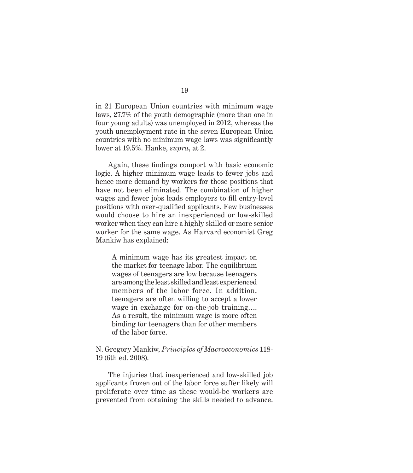in 21 European Union countries with minimum wage laws, 27.7% of the youth demographic (more than one in four young adults) was unemployed in 2012, whereas the youth unemployment rate in the seven European Union countries with no minimum wage laws was significantly lower at 19.5%. Hanke, *supra*, at 2.

Again, these findings comport with basic economic logic. A higher minimum wage leads to fewer jobs and hence more demand by workers for those positions that have not been eliminated. The combination of higher wages and fewer jobs leads employers to fill entry-level positions with over-qualified applicants. Few businesses would choose to hire an inexperienced or low-skilled worker when they can hire a highly skilled or more senior worker for the same wage. As Harvard economist Greg Mankiw has explained:

A minimum wage has its greatest impact on the market for teenage labor. The equilibrium wages of teenagers are low because teenagers are among the least skilled and least experienced members of the labor force. In addition, teenagers are often willing to accept a lower wage in exchange for on-the-job training…. As a result, the minimum wage is more often binding for teenagers than for other members of the labor force.

#### N. Gregory Mankiw, *Principles of Macroeconomics* 118- 19 (6th ed. 2008).

The injuries that inexperienced and low-skilled job applicants frozen out of the labor force suffer likely will proliferate over time as these would-be workers are prevented from obtaining the skills needed to advance.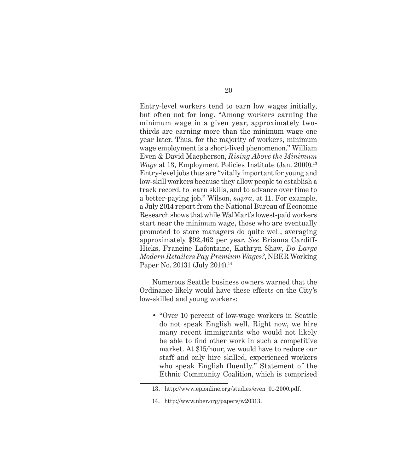Entry-level workers tend to earn low wages initially, but often not for long. "Among workers earning the minimum wage in a given year, approximately twothirds are earning more than the minimum wage one year later. Thus, for the majority of workers, minimum wage employment is a short-lived phenomenon." William Even & David Macpherson, *Rising Above the Minimum Wage* at 13, Employment Policies Institute (Jan. 2000).<sup>13</sup> Entry-level jobs thus are "vitally important for young and low-skill workers because they allow people to establish a track record, to learn skills, and to advance over time to a better-paying job." Wilson, *supra*, at 11. For example, a July 2014 report from the National Bureau of Economic Research shows that while WalMart's lowest-paid workers start near the minimum wage, those who are eventually promoted to store managers do quite well, averaging approximately \$92,462 per year. *See* Brianna Cardiff-Hicks, Francine Lafontaine, Kathryn Shaw, *Do Large Modern Retailers Pay Premium Wages?*, NBER Working Paper No. 20131 (July 2014).14

Numerous Seattle business owners warned that the Ordinance likely would have these effects on the City's low-skilled and young workers:

• "Over 10 percent of low-wage workers in Seattle do not speak English well. Right now, we hire many recent immigrants who would not likely be able to find other work in such a competitive market. At \$15/hour, we would have to reduce our staff and only hire skilled, experienced workers who speak English fluently." Statement of the Ethnic Community Coalition, which is comprised

<sup>13.</sup> http://www.epionline.org/studies/even\_01-2000.pdf.

<sup>14.</sup> http://www.nber.org/papers/w20313.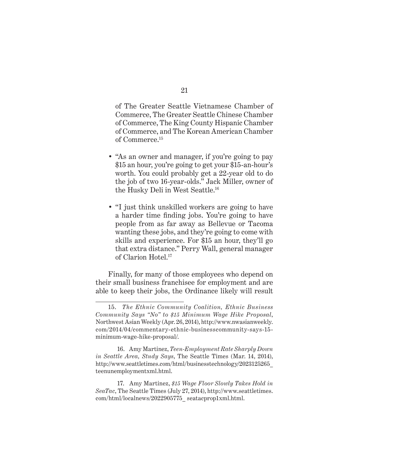of The Greater Seattle Vietnamese Chamber of Commerce, The Greater Seattle Chinese Chamber of Commerce, The King County Hispanic Chamber of Commerce, and The Korean American Chamber of Commerce.15

- "As an owner and manager, if you're going to pay \$15 an hour, you're going to get your \$15-an-hour's worth. You could probably get a 22-year old to do the job of two 16-year-olds." Jack Miller, owner of the Husky Deli in West Seattle.<sup>16</sup>
- "I just think unskilled workers are going to have a harder time finding jobs. You're going to have people from as far away as Bellevue or Tacoma wanting these jobs, and they're going to come with skills and experience. For \$15 an hour, they'll go that extra distance." Perry Wall, general manager of Clarion Hotel.17

Finally, for many of those employees who depend on their small business franchisee for employment and are able to keep their jobs, the Ordinance likely will result

<sup>15.</sup> *The Ethnic Community Coalition, Ethnic Business Community Says "No" to \$15 Minimum Wage Hike Proposal*, Northwest Asian Weekly (Apr. 26, 2014), http://www.nwasianweekly. com/2014/04/commentary-ethnic-businesscommunity-says-15 minimum-wage-hike-proposal/.

<sup>16.</sup> Amy Martinez, *Teen-Employment Rate Sharply Down in Seattle Area, Study Says*, The Seattle Times (Mar. 14, 2014), http://www.seattletimes.com/html/businesstechnology/2023125265\_ teenunemploymentxml.html.

<sup>17.</sup> Amy Martinez, *\$15 Wage Floor Slowly Takes Hold in SeaTac*, The Seattle Times (July 27, 2014), http://www.seattletimes. com/html/localnews/2022905775\_ seatacprop1xml.html.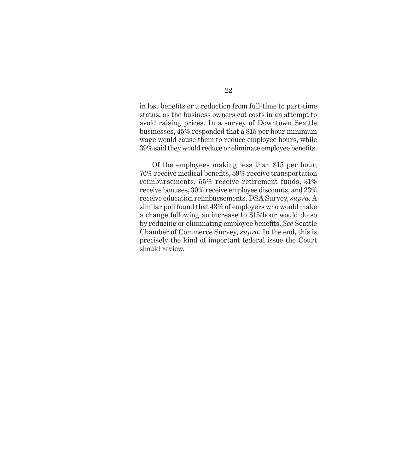in lost benefits or a reduction from full-time to part-time status, as the business owners cut costs in an attempt to avoid raising prices. In a survey of Downtown Seattle businesses, 45% responded that a \$15 per hour minimum wage would cause them to reduce employee hours, while 39% said they would reduce or eliminate employee benefits.

Of the employees making less than \$15 per hour, 76% receive medical benefits, 59% receive transportation reimbursements, 55% receive retirement funds, 31% receive bonuses, 30% receive employee discounts, and 23% receive education reimbursements. DSA Survey, *supra*. A similar poll found that 43% of employers who would make a change following an increase to \$15/hour would do so by reducing or eliminating employee benefits. *See* Seattle Chamber of Commerce Survey, *supra*. In the end, this is precisely the kind of important federal issue the Court should review.